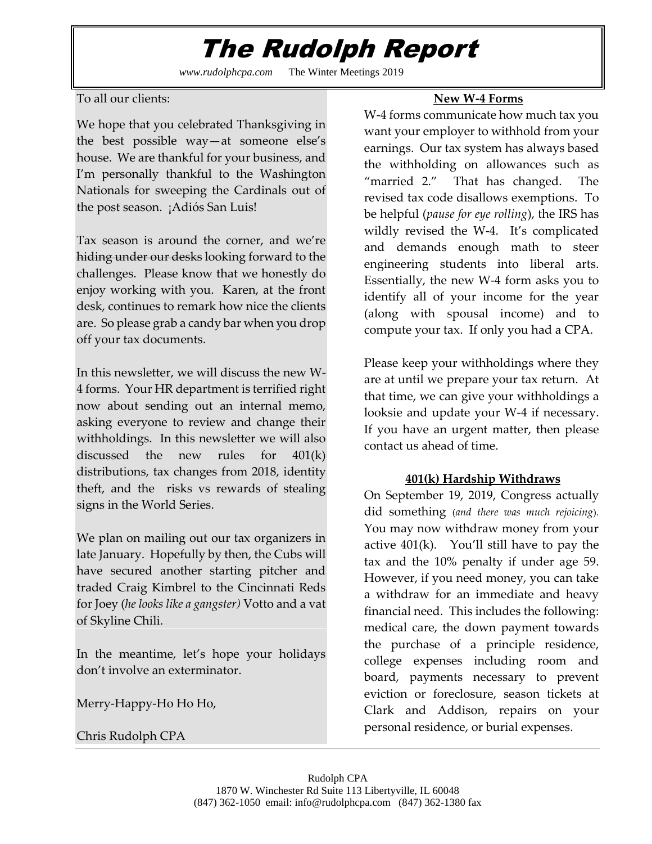## The Rudolph Report

*www.rudolphcpa.com* The Winter Meetings 2019

To all our clients:

We hope that you celebrated Thanksgiving in the best possible way—at someone else's house. We are thankful for your business, and I'm personally thankful to the Washington Nationals for sweeping the Cardinals out of the post season. ¡Adiós San Luis!

Tax season is around the corner, and we're hiding under our desks looking forward to the challenges. Please know that we honestly do enjoy working with you. Karen, at the front desk, continues to remark how nice the clients are. So please grab a candy bar when you drop off your tax documents.

In this newsletter, we will discuss the new W-4 forms. Your HR department is terrified right now about sending out an internal memo, asking everyone to review and change their withholdings. In this newsletter we will also discussed the new rules for 401(k) distributions, tax changes from 2018, identity theft, and the risks vs rewards of stealing signs in the World Series.

We plan on mailing out our tax organizers in late January. Hopefully by then, the Cubs will have secured another starting pitcher and traded Craig Kimbrel to the Cincinnati Reds for Joey (*he looks like a gangster)* Votto and a vat of Skyline Chili.

In the meantime, let's hope your holidays don't involve an exterminator.

Merry-Happy-Ho Ho Ho,

Chris Rudolph CPA

## **New W-4 Forms**

W-4 forms communicate how much tax you want your employer to withhold from your earnings. Our tax system has always based the withholding on allowances such as "married 2." That has changed. The revised tax code disallows exemptions. To be helpful (*pause for eye rolling*), the IRS has wildly revised the W-4. It's complicated and demands enough math to steer engineering students into liberal arts. Essentially, the new W-4 form asks you to identify all of your income for the year (along with spousal income) and to compute your tax. If only you had a CPA.

Please keep your withholdings where they are at until we prepare your tax return. At that time, we can give your withholdings a looksie and update your W-4 if necessary. If you have an urgent matter, then please contact us ahead of time.

### **401(k) Hardship Withdraws**

On September 19, 2019, Congress actually did something (*and there was much rejoicing*). You may now withdraw money from your active  $401(k)$ . You'll still have to pay the tax and the 10% penalty if under age 59. However, if you need money, you can take a withdraw for an immediate and heavy financial need. This includes the following: medical care, the down payment towards the purchase of a principle residence, college expenses including room and board, payments necessary to prevent eviction or foreclosure, season tickets at Clark and Addison, repairs on your personal residence, or burial expenses.